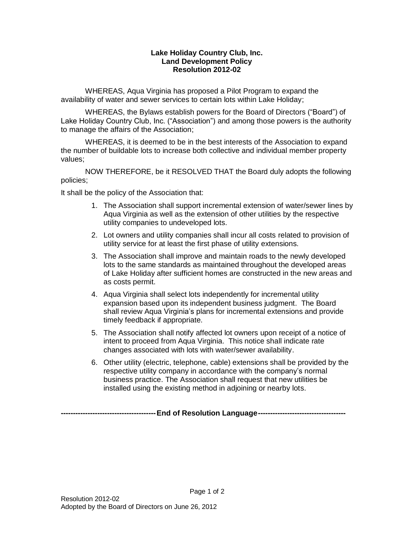## **Lake Holiday Country Club, Inc. Land Development Policy Resolution 2012-02**

WHEREAS, Aqua Virginia has proposed a Pilot Program to expand the availability of water and sewer services to certain lots within Lake Holiday;

WHEREAS, the Bylaws establish powers for the Board of Directors ("Board") of Lake Holiday Country Club, Inc. ("Association") and among those powers is the authority to manage the affairs of the Association;

WHEREAS, it is deemed to be in the best interests of the Association to expand the number of buildable lots to increase both collective and individual member property values;

NOW THEREFORE, be it RESOLVED THAT the Board duly adopts the following policies;

It shall be the policy of the Association that:

- 1. The Association shall support incremental extension of water/sewer lines by Aqua Virginia as well as the extension of other utilities by the respective utility companies to undeveloped lots.
- 2. Lot owners and utility companies shall incur all costs related to provision of utility service for at least the first phase of utility extensions.
- 3. The Association shall improve and maintain roads to the newly developed lots to the same standards as maintained throughout the developed areas of Lake Holiday after sufficient homes are constructed in the new areas and as costs permit.
- 4. Aqua Virginia shall select lots independently for incremental utility expansion based upon its independent business judgment. The Board shall review Aqua Virginia's plans for incremental extensions and provide timely feedback if appropriate.
- 5. The Association shall notify affected lot owners upon receipt of a notice of intent to proceed from Aqua Virginia. This notice shall indicate rate changes associated with lots with water/sewer availability.
- 6. Other utility (electric, telephone, cable) extensions shall be provided by the respective utility company in accordance with the company's normal business practice. The Association shall request that new utilities be installed using the existing method in adjoining or nearby lots.

Page 1 of 2

**---------------------------------------End of Resolution Language------------------------------------**